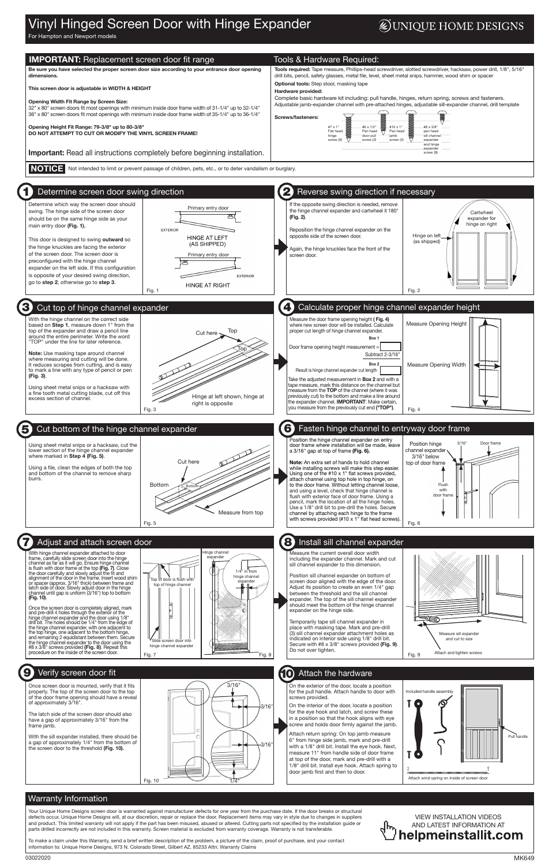## Vinyl Hinged Screen Door with Hinge Expander

## **DUNIQUE HOME DESIGNS**

For Hampton and Newport models

## Warranty Information

Your Unique Home Designs screen door is warranted against manufacturer defects for one year from the purchase date. If the door breaks or structural defects occur, Unique Home Designs will, at our discretion, repair or replace the door. Replacement items may vary in style due to changes in suppliers and product. This limited warranty will not apply if the part has been misused, abused or altered. Cutting parts not specified by the installation guide or parts drilled incorrectly are not included in this warranty. Screen material is excluded from warranty coverage. Warranty is not transferable.

To make a claim under this Warranty, send a brief written description of the problem, a picture of the claim, proof of purchase, and your contact information to: Unique Home Designs, 973 N. Colorado Street, Gilbert AZ. 85233 Attn: Warranty Claims



On the exterior of the door, locate a position for the pull handle. Attach handle to door with screws provided.

On the interior of the door, locate a position for the eye hook and latch, and screw these in a position so that the hook aligns with eye screw and holds door firmly against the jamb.

Attach return spring: On top jamb measure 6" from hinge side jamb, mark and pre-drill with a 1/8" drill bit. Install the eye hook. Next, measure 11" from handle side of door frame at top of the door, mark and pre-drill with a 1/8" drill bit. Install eye hook. Attach spring to door jamb first and then to door.

Once screen door is mounted, verify that it fits properly. The top of the screen door to the top of the door frame opening should have a reveal of approximately 3/16".

The latch side of the screen door should also have a gap of approximately 3/16" from the frame jamb.

#### **IMPORTANT:** Replacement screen door fit range Tools & Hardware Required: Be sure you have selected the proper screen door size according to your entrance door opening Tools required: Tape measure, Phillips-head screwdriver, slotted screwdriver, hacksaw, power drill, 1/8", 5/16" drill bits, pencil, safety glasses, metal file, level, sheet metal snips, hammer, wood shim or spacer dimensions. Optional tools: Step stool, masking tape This screen door is adjustable in WIDTH & HEIGHT Hardware provided: Complete basic hardware kit including: pull handle, hinges, return spring, screws and fasteners. Opening Width Fit Range by Screen Size: Adjustable jamb-expander channel with pre-attached hinges, adjustable sill-expander channel, drill template 32" x 80" screen doors fit most openings with minimum inside door frame width of 31-1/4" up to 32-1/4" 36" x 80" screen doors fit most openings with minimum inside door frame width of 35-1/4" up to 36-1/4" 夏 Screws/fasteners: **SUMMARY** Opening Height Fit Range: 79-3/8" up to 80-3/8" **CONTINUES** #6 x 1/2" #10 x 1" #8 x 3/8" #7 x 1" Flat head DO NOT ATTEMPT TO CUT OR MODIFY THE VINYL SCREEN FRAME! Pan head Pan head pan head<br>sill channel <sup>.</sup> hinge door pull jamb<br>screw (3)  $(6)$ screw (2) expander and hinge expander **Important:** Read all instructions completely before beginning installation. screw (9) NOTICE Not intended to limit or prevent passage of children, pets, etc., or to deter vandalism or burglary. 2 Determine screen door swing direction Reverse swing direction if necessary Determine which way the screen door should If the opposite swing direction is needed, remove Primary entry door the hinge channel expander and cartwheel it 180° swing. The hinge side of the screen door **Cartwheel** (Fig. 2). should be on the same hinge side as your expander for hinge on right main entry door (Fig. 1). **EXTERIOR** Reposition the hinge channel expander on the Hinge on left opposite side of the screen door. **HINGE AT LEFT** This door is designed to swing outward so (as shipped) (AS SHIPPED) the hinge knuckles are facing the exterior Again, the hinge knuckles face the front of the of the screen door. The screen door is Primary entry door screen door. preconfigured with the hinge channel expander on the left side. If this configuration is opposite of your desired swing direction, **EXTERIOR** go to step 2, otherwise go to step 3. **HINGE AT RIGHT** Fig. 1 Fig. 2 3 4 Calculate proper hinge channel expander height Cut top of hinge channel expander With the hinge channel on the correct side Measure the door frame opening height ( Fig. 4) Measure Opening Height based on Step 1, measure down 1" from the where new screen door will be installed. Calculate top of the expander and draw a pencil line Top proper cut length of hinge channel expander. Cut here · around the entire perimeter. Write the word Box 1 "TOP" under the line for later reference. Door frame opening height measurement = Top Note: Use masking tape around channel Subtract 2-3/16" where measuring and cutting will be done. It reduces scrapes from cutting, and is easy Box 2 Measure Opening Width Result is hinge channel expander cut length to mark a line with any type of pencil or pen (Fig. 3). Take the adjusted measurement in **Box 2** and with a tape measure, mark this distance on the channel but Using sheet metal snips or a hacksaw with measure from the TOP of the channel (where it was a fine tooth metal cutting blade, cut off this Hinge at left shown, hinge at previously cut) to the bottom and make a line around excess section of channel. the expander channel. **IMPORTANT:** Make certain, right is opposite you measure from the previously cut end ("TOP"). Fig. 3 Fig. 4 6 Fasten hinge channel to entryway door frame 5 Cut bottom of the hinge channel expander Position the hinge channel expander on entry Position hinge 3/16" Door frame Using sheet metal snips or a hacksaw, cut the door frame where installation will be made, leave channel expander lower section of the hinge channel expander a 3/16" gap at top of frame (Fig. 6). where marked in Step  $\overline{4}$  (Fig. 5). 3/16" below Cut here Note: An extra set of hands to hold channel top of door frame Using a file, clean the edges of both the top while installing screws will make this step easier. and bottom of the channel to remove sharp Using one of the #10 x 1" flat screws provided, burrs. attach channel using top hole in top hinge, on **Bottom** Flush to the door frame. Without letting channel loose, with and using a level, check that hinge channel is door frame flush with exterior face of door frame. Using a pencil, mark the location of all the hinge holes. Use a 1/8" drill bit to pre-drill the holes. Secure Measure from top channel by attaching each hinge to the frame with screws provided (#10 x 1" flat head screws). Fig. 5 Fig. 6 8 Install sill channel expander Adjust and attach screen door inge channe With hinge channel expander attached to door<br>frame carefully slide screen door into the binge Measure the current overall door width frame, carefully slide screen door into the hinge including the expander channel. Mark and cut channel as far as it will go. Ensure hinge channel sill channel expander to this dimension. is flush with door frame at the top **(Fig. 7)**. Close<br>the door carefully and slowly adjust the fit and 1/4" in from Position sill channel expander on bottom of hinge channel alignment of the door in the frame. Insert wood shim<br>or spacer (approx. 3/16" thick) between frame and<br>latch side of door. Slowly adjust door in the hinge<br>channel until gap is uniform (3/16") top to bottom  $\mathsf{op}$  is screen door aligned with the edge of the door. expander top of hinge channel Adjust its position to create an even 1/4" gap between the threshold and the sill channel (Fig. 10). expander. The top of the sill channel expander should meet the bottom of the hinge channel Once the screen door is completely aligned, mark expander on the hinge side. 奕 and pre-drill 4 holes through the exterior of the hinge channel expander and the door using 1/8" EGO Temporarily tape sill channel expander in drill bit. The holes should be 1/4" from the edge of the hinge channel expander, with one adjacent to place with masking tape. Mark and pre-drill the top hinge, one adjacent to the bottom hinge, (3) sill channel expander attachment holes as Measure sill exp and remaining 2 equidistant between them. Secure

the hinge channel expander to the door using the<br>#8 x 3/8" screws provided **(Fig. 8)**. Repeat this<br>procedure on the inside of the screen door.

With the sill expander installed, there should be a gap of approximately 1/4" from the bottom of the screen door to the threshold (Fig. 10).



indicated on interior side using 1/8" drill bit. Secure with #8 x 3/8" screws provided (Fig. 9). Do not over tighten.



### 10 Attach the hardware

Slide screen door into hinge channel expander





## **9** Verify screen door fit